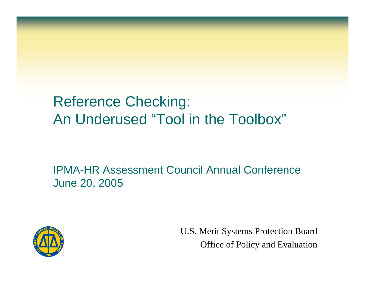### Reference Checking: An Underused "Tool in the Toolbox"

IPMA-HR Assessment Council Annual ConferenceJune 20, 2005



U.S. Merit Systems Protection Board Office of Policy and Evaluation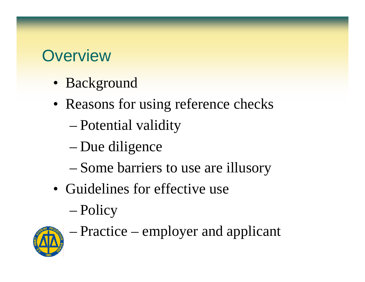### **Overview**

- Background
- Reasons for using reference checks
	- Potential validity
	- –Due diligence
	- Some barriers to use are illusory
- Guidelines for effective use
	- Policy



Practice – employer and applicant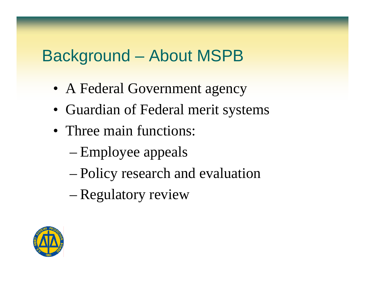### Background – About MSPB

- A Federal Government agency
- Guardian of Federal merit systems
- Three main functions:
	- –Employee appeals
	- Policy research and evaluation
	- Regulatory review

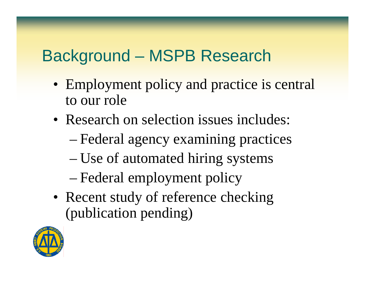## Background – MSPB Research

- Employment policy and practice is central to our role
- Research on selection issues includes:
	- Federal agency examining practices
	- Use of automated hiring systems
	- Federal employment policy
- Recent study of reference checking (publication pending)

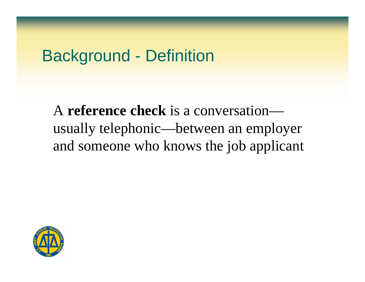### Background - Definition

A **reference check** is a conversationusually telephonic—between an employer and someone who knows the job applicant

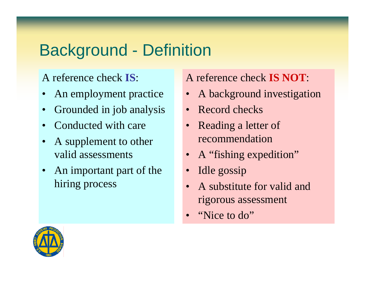## Background - Definition

#### A reference check **IS**:

- •An employment practice
- •Grounded in job analysis
- •Conducted with care
- $\bullet$  A supplement to other valid assessments
- $\bullet$  An important part of the hiring process

#### A reference check **IS NOT**:

- A background investigation
- Record checks
- Reading a letter of recommendation
- A "fishing expedition"
- •Idle gossip
- • A substitute for valid and rigorous assessment
- •"Nice to do"

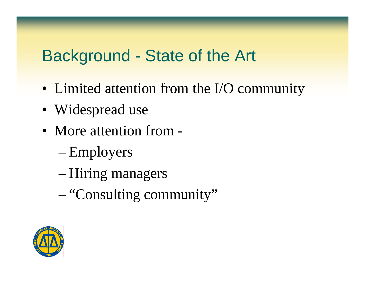### Background - State of the Art

- Limited attention from the I/O community
- Widespread use
- More attention from -
	- –Employers
	- Hiring managers
	- "Consulting community"

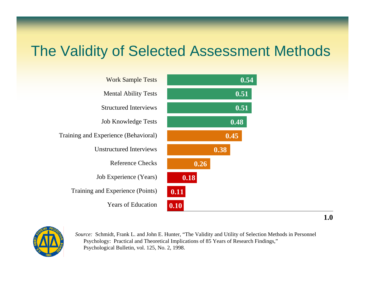### The Validity of Selected Assessment Methods

| <b>Work Sample Tests</b>             | 0.54 |
|--------------------------------------|------|
| <b>Mental Ability Tests</b>          | 0.51 |
| <b>Structured Interviews</b>         | 0.51 |
| <b>Job Knowledge Tests</b>           | 0.48 |
| Training and Experience (Behavioral) | 0.45 |
| <b>Unstructured Interviews</b>       | 0.38 |
| Reference Checks                     | 0.26 |
| Job Experience (Years)               | 0.18 |
| Training and Experience (Points)     | 0.11 |
| <b>Years of Education</b>            | 0.10 |



*Source:* Schmidt, Frank L. and John E. Hunter, "The Validity and Utility of Selection Methods in Personnel Psychology: Practical and Theoretical Implications of 85 Years of Research Findings," Psychological Bulletin, vol. 125, No. 2, 1998.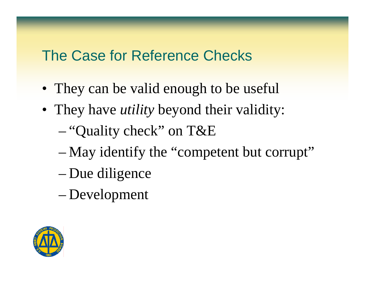### The Case for Reference Checks

- They can be valid enough to be useful
- They have *utility* beyond their validity:
	- "Quality check" on T&E
	- –May identify the "competent but corrupt"
	- Due diligence
	- Development

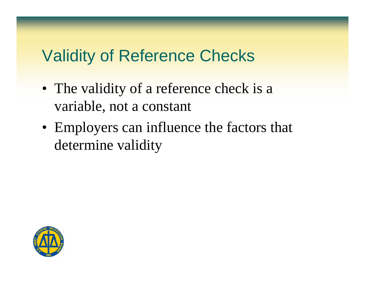### Validity of Reference Checks

- The validity of a reference check is a variable, not a constant
- Employers can influence the factors that determine validity

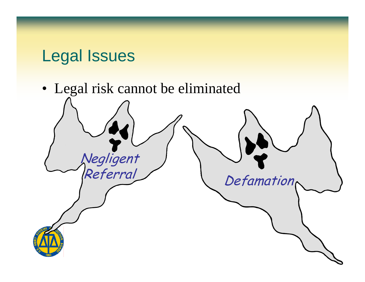### Legal Issues

• Legal risk cannot be eliminated Negligent<br>Referral Defamation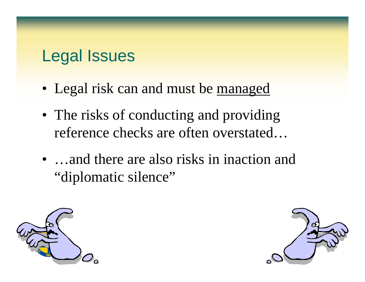### Legal Issues

- Legal risk can and must be <u>managed</u>
- The risks of conducting and providing reference checks are often overstated…
- …and there are also risks in inaction and "diplomatic silence"



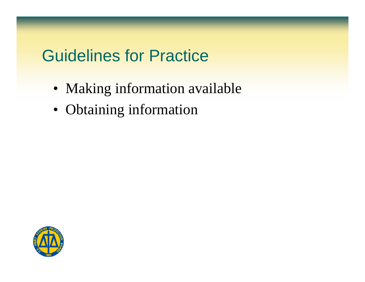### Guidelines for Practice

- Making information available
- Obtaining information

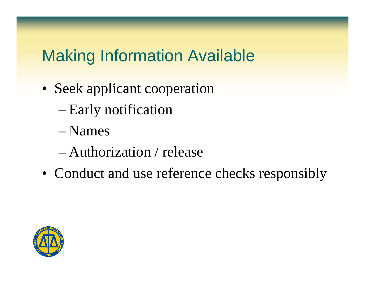## Making Information Available

- Seek applicant cooperation
	- Early notification
	- Names
	- Authorization / release
- Conduct and use reference checks responsibly

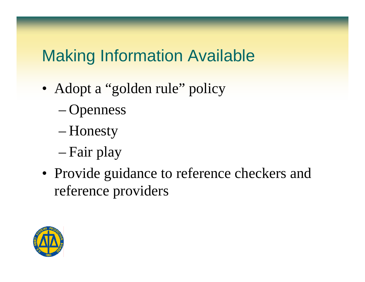## Making Information Available

- Adopt a "golden rule" policy
	- Openness
	- Honesty
	- –Fair play
- Provide guidance to reference checkers and reference providers

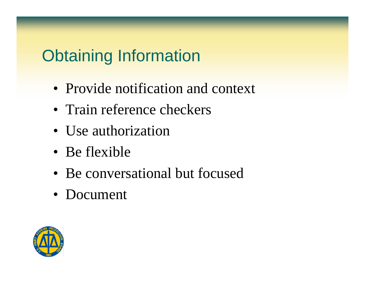# Obtaining Information

- Provide notification and context
- Train reference checkers
- Use authorization
- Be flexible
- Be conversational but focused
- Document